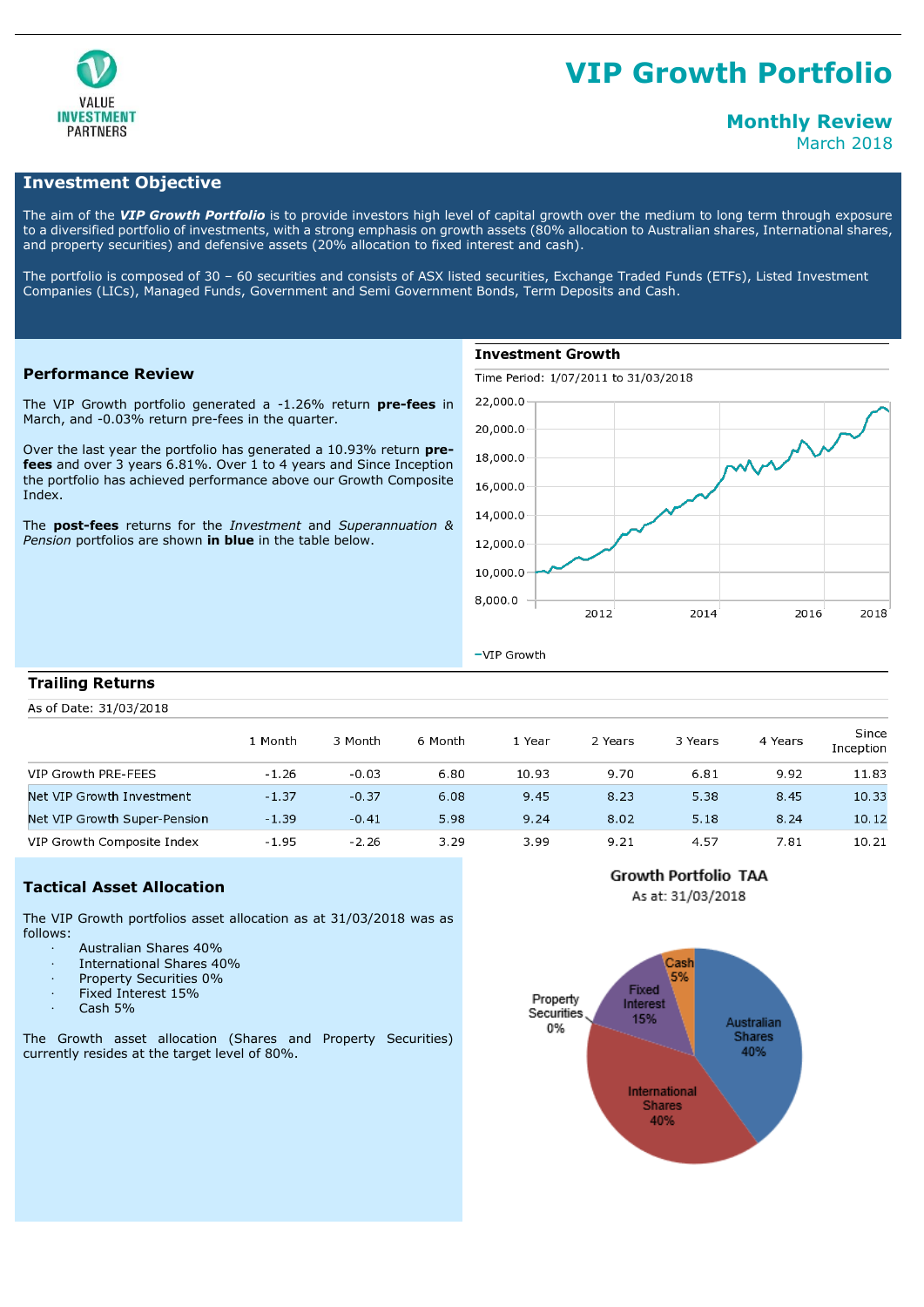

# **VIP Growth Portfolio**

# **Monthly Review** March 2018

# **Investment Objective**

The aim of the *VIP Growth Portfolio* is to provide investors high level of capital growth over the medium to long term through exposure to a diversified portfolio of investments, with a strong emphasis on growth assets (80% allocation to Australian shares, International shares, and property securities) and defensive assets (20% allocation to fixed interest and cash).

The portfolio is composed of 30 – 60 securities and consists of ASX listed securities, Exchange Traded Funds (ETFs), Listed Investment Companies (LICs), Managed Funds, Government and Semi Government Bonds, Term Deposits and Cash.

#### **Performance Review**

The VIP Growth portfolio generated a -1.26% return **pre-fees** in March, and -0.03% return pre-fees in the quarter.

Over the last year the portfolio has generated a 10.93% return **prefees** and over 3 years 6.81%. Over 1 to 4 years and Since Inception the portfolio has achieved performance above our Growth Composite Index.

The **post-fees** returns for the *Investment* and *Superannuation & Pension* portfolios are shown **in blue** in the table below.

# **Investment Growth**

Time Period: 1/07/2011 to 31/03/2018



-VIP Growth

#### **Trailing Returns**

As of Date: 31/03/2018

|                              | 1 Month | 3 Month | 6 Month | l Year | 2 Years | 3 Years | 4 Years | Since<br>Inception |
|------------------------------|---------|---------|---------|--------|---------|---------|---------|--------------------|
| VIP Growth PRE-FEES          | $-1.26$ | $-0.03$ | 6.80    | 10.93  | 9.70    | 6.81    | 9.92    | 11.83              |
| Net VIP Growth Investment    | $-1.37$ | $-0.37$ | 6.08    | 9.45   | 8.23    | 5.38    | 8.45    | 10.33              |
| Net VIP Growth Super-Pension | $-1.39$ | $-0.41$ | 5.98    | 9.24   | 8.02    | 5.18    | 8.24    | 10.12              |
| VIP Growth Composite Index   | $-1.95$ | $-2.26$ | 3.29    | 3.99   | 9.21    | 4.57    | 7.81    | 10.21              |

# **Tactical Asset Allocation**

The VIP Growth portfolios asset allocation as at 31/03/2018 was as follows:

- · Australian Shares 40%
- · International Shares 40%
- Property Securities 0%
- Fixed Interest 15%
- · Cash 5%

The Growth asset allocation (Shares and Property Securities) currently resides at the target level of 80%.

# **Growth Portfolio TAA** As at: 31/03/2018

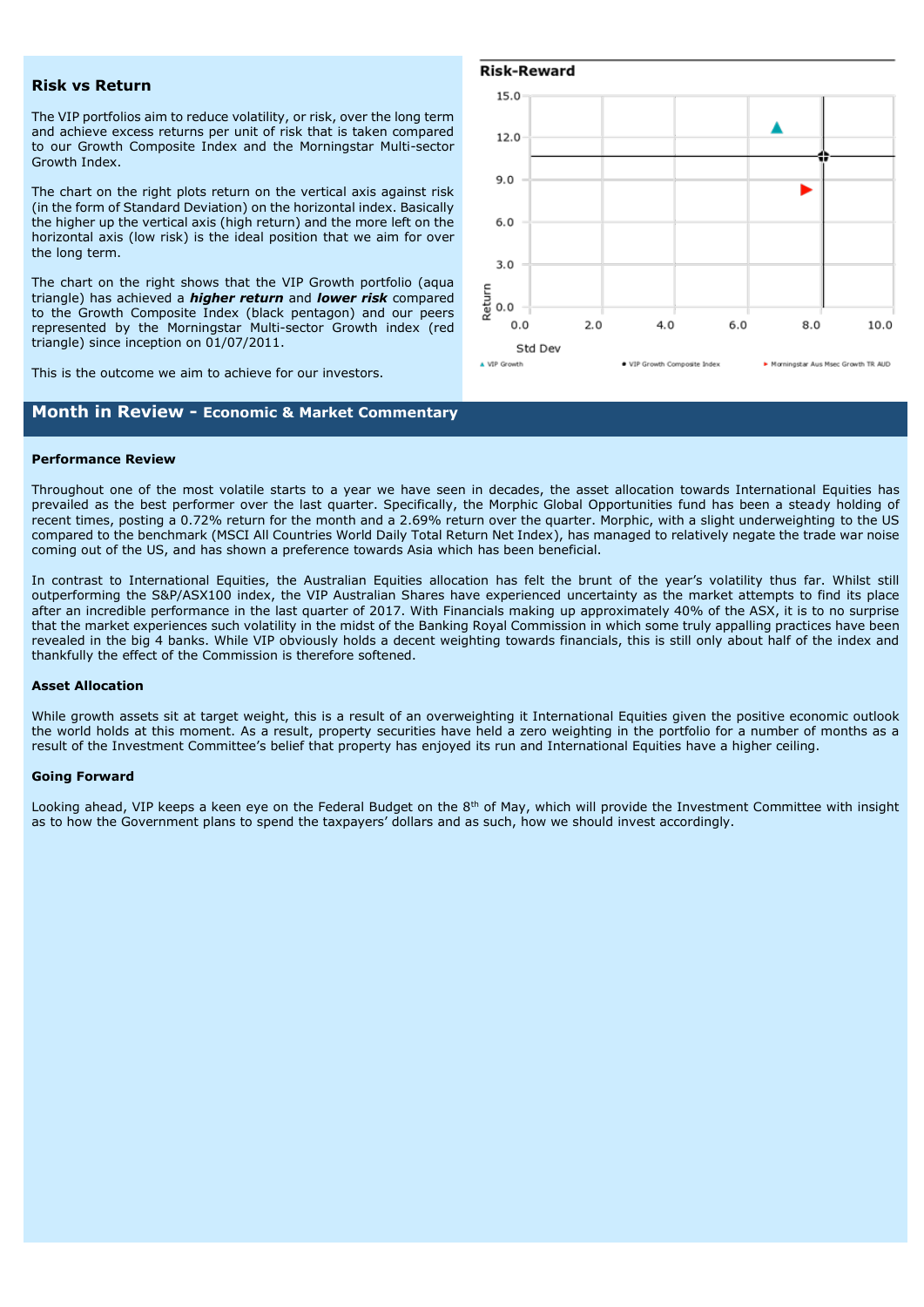#### **Risk vs Return**

The VIP portfolios aim to reduce volatility, or risk, over the long term and achieve excess returns per unit of risk that is taken compared to our Growth Composite Index and the Morningstar Multi-sector Growth Index.

The chart on the right plots return on the vertical axis against risk (in the form of Standard Deviation) on the horizontal index. Basically the higher up the vertical axis (high return) and the more left on the horizontal axis (low risk) is the ideal position that we aim for over the long term.

The chart on the right shows that the VIP Growth portfolio (aqua triangle) has achieved a *higher return* and *lower risk* compared to the Growth Composite Index (black pentagon) and our peers represented by the Morningstar Multi-sector Growth index (red triangle) since inception on 01/07/2011.

This is the outcome we aim to achieve for our investors.

### **Month in Review - Economic & Market Commentary**

# **Risk-Reward**



#### **Performance Review**

Throughout one of the most volatile starts to a year we have seen in decades, the asset allocation towards International Equities has prevailed as the best performer over the last quarter. Specifically, the Morphic Global Opportunities fund has been a steady holding of recent times, posting a 0.72% return for the month and a 2.69% return over the quarter. Morphic, with a slight underweighting to the US compared to the benchmark (MSCI All Countries World Daily Total Return Net Index), has managed to relatively negate the trade war noise coming out of the US, and has shown a preference towards Asia which has been beneficial.

In contrast to International Equities, the Australian Equities allocation has felt the brunt of the year's volatility thus far. Whilst still outperforming the S&P/ASX100 index, the VIP Australian Shares have experienced uncertainty as the market attempts to find its place after an incredible performance in the last quarter of 2017. With Financials making up approximately 40% of the ASX, it is to no surprise that the market experiences such volatility in the midst of the Banking Royal Commission in which some truly appalling practices have been revealed in the big 4 banks. While VIP obviously holds a decent weighting towards financials, this is still only about half of the index and thankfully the effect of the Commission is therefore softened.

### **Asset Allocation**

While growth assets sit at target weight, this is a result of an overweighting it International Equities given the positive economic outlook the world holds at this moment. As a result, property securities have held a zero weighting in the portfolio for a number of months as a result of the Investment Committee's belief that property has enjoyed its run and International Equities have a higher ceiling.

#### **Going Forward**

Looking ahead, VIP keeps a keen eye on the Federal Budget on the 8<sup>th</sup> of May, which will provide the Investment Committee with insight as to how the Government plans to spend the taxpayers' dollars and as such, how we should invest accordingly.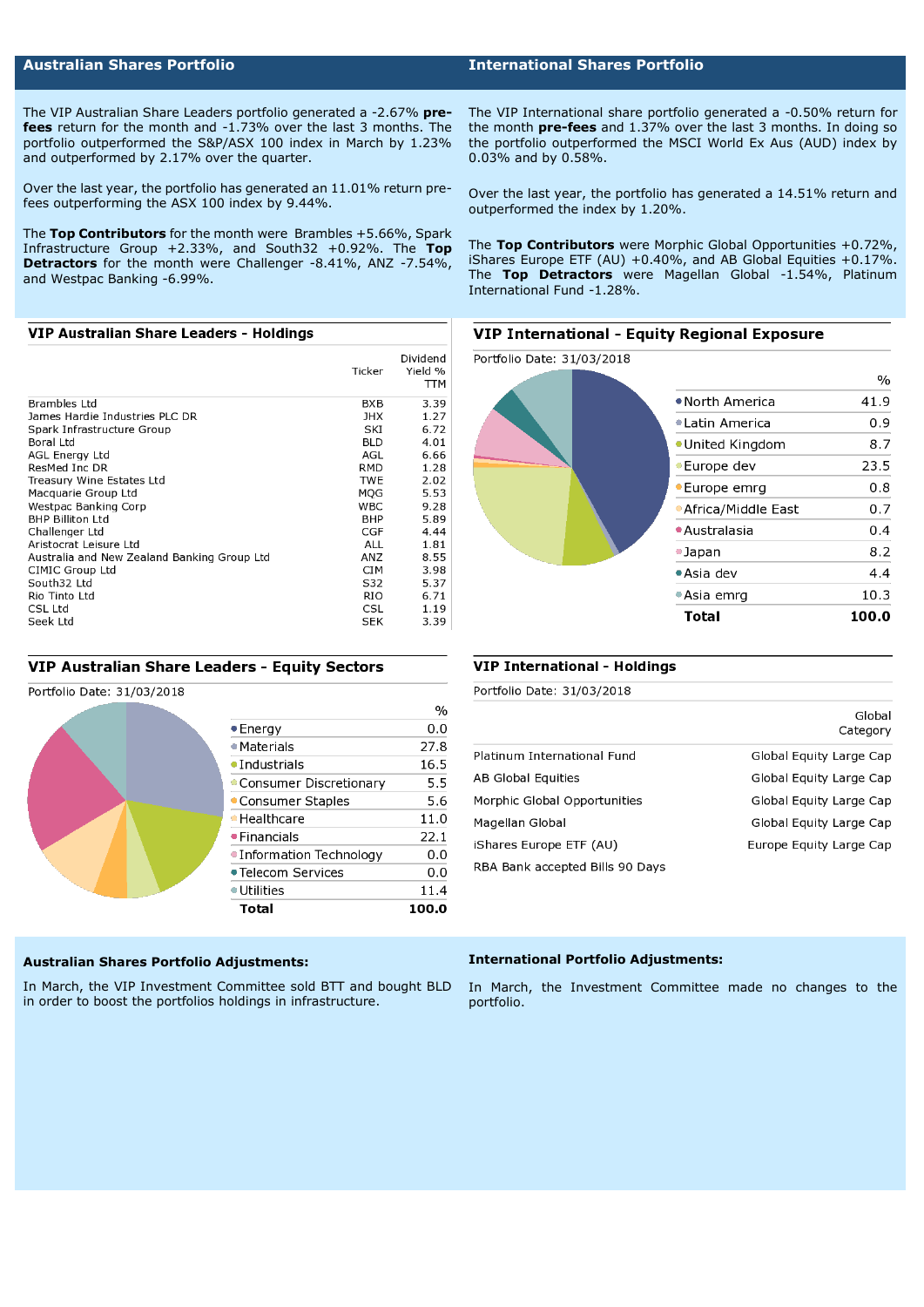The VIP Australian Share Leaders portfolio generated a -2.67% **prefees** return for the month and -1.73% over the last 3 months. The portfolio outperformed the S&P/ASX 100 index in March by 1.23% and outperformed by 2.17% over the quarter.

Over the last year, the portfolio has generated an 11.01% return prefees outperforming the ASX 100 index by 9.44%.

The **Top Contributors** for the month were Brambles +5.66%, Spark Infrastructure Group +2.33%, and South32 +0.92%. The **Top Detractors** for the month were Challenger -8.41%, ANZ -7.54%, and Westpac Banking -6.99%.

#### VIP Australian Share Leaders - Holdings

|                                             | Ticker     | Dividend<br>Yield %<br>TТM |
|---------------------------------------------|------------|----------------------------|
| Brambles Ltd                                | BXB        | 3.39                       |
| James Hardie Industries PLC DR              | JHX        | 1.27                       |
| Spark Infrastructure Group                  | <b>SKI</b> | 6.72                       |
| Boral Ltd                                   | <b>BLD</b> | 4.01                       |
| <b>AGL Enerav Ltd</b>                       | AGL        | 6.66                       |
| ResMed Inc DR                               | RMD        | 1.28                       |
| Treasury Wine Estates Ltd                   | <b>TWE</b> | 2.02                       |
| Macquarie Group Ltd                         | MQG        | 5.53                       |
| Westpac Banking Corp                        | <b>WBC</b> | 9.28                       |
| <b>BHP Billiton Ltd</b>                     | BHP        | 5.89                       |
| Challenger Ltd                              | CGF        | 4.44                       |
| Aristocrat Leisure Ltd                      | <b>ALL</b> | 1.81                       |
| Australia and New Zealand Banking Group Ltd | ANZ        | 8.55                       |
| CIMIC Group Ltd                             | <b>CIM</b> | 3.98                       |
| South32 Ltd                                 | S32        | 5.37                       |
| Rio Tinto Ltd                               | RIO        | 6.71                       |
| CSL Ltd                                     | CSL        | 1.19                       |
| Seek Ltd                                    | SEK        | 3.39                       |

#### **VIP Australian Share Leaders - Equity Sectors**

Portfolio Date: 31/03/2018

|                          | %     |
|--------------------------|-------|
| $\bullet$ Energy         | 0.0   |
| $\bullet$ Materials      | 27.8  |
| •Industrials             | 16.5  |
| • Consumer Discretionary | 5.5   |
| • Consumer Staples       | 5.6   |
| • Healthcare             | 11.0  |
| • Financials             | 22.1  |
| • Information Technology | 0,0   |
| • Telecom Services       | 0.0   |
| • Utilities              | 11.4  |
| Total                    | 100.0 |

# **Australian Shares Portfolio Adjustments:**

In March, the VIP Investment Committee sold BTT and bought BLD in order to boost the portfolios holdings in infrastructure.

# **Australian Shares Portfolio International Shares Portfolio**

The VIP International share portfolio generated a -0.50% return for the month **pre-fees** and 1.37% over the last 3 months. In doing so the portfolio outperformed the MSCI World Ex Aus (AUD) index by 0.03% and by 0.58%.

Over the last year, the portfolio has generated a 14.51% return and outperformed the index by 1.20%.

The **Top Contributors** were Morphic Global Opportunities +0.72%, iShares Europe ETF (AU) +0.40%, and AB Global Equities +0.17%. The **Top Detractors** were Magellan Global -1.54%, Platinum International Fund -1.28%.

# VIP International - Equity Regional Exposure

Portfolio Date: 31/03/2018



#### **VIP International - Holdings**

Portfolio Date: 31/03/2018

|                                 | Global<br>Category      |
|---------------------------------|-------------------------|
| Platinum International Fund     | Global Equity Large Cap |
| AB Global Equities              | Global Equity Large Cap |
| Morphic Global Opportunities    | Global Equity Large Cap |
| Magellan Global                 | Global Equity Large Cap |
| iShares Europe ETF (AU)         | Europe Equity Large Cap |
| RBA Bank accepted Bills 90 Days |                         |

#### **International Portfolio Adjustments:**

In March, the Investment Committee made no changes to the portfolio.